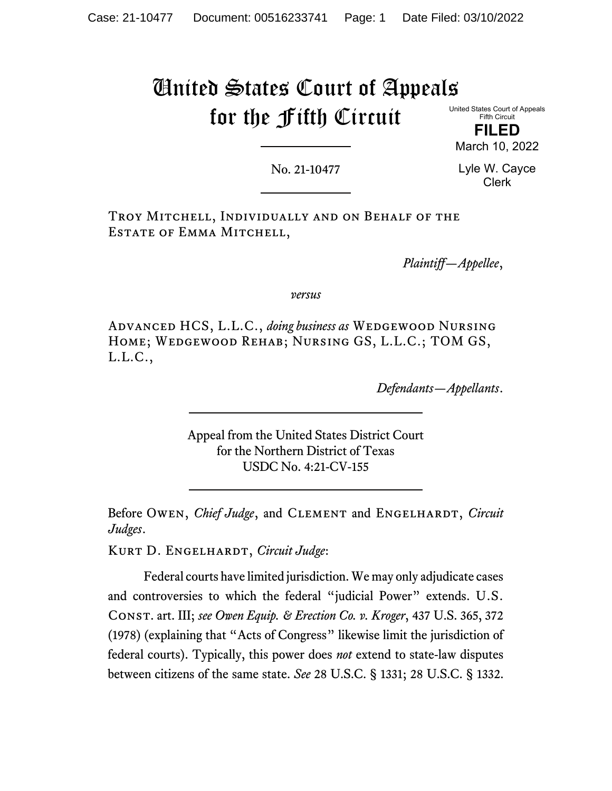# United States Court of Appeals for the Fifth Circuit

United States Court of Appeals Fifth Circuit

**FILED** March 10, 2022

No. 21-10477

Lyle W. Cayce Clerk

Troy Mitchell, Individually and on Behalf of the Estate of Emma Mitchell,

*Plaintiff—Appellee*,

*versus*

Advanced HCS, L.L.C., *doing business as* Wedgewood Nursing Home; Wedgewood Rehab; Nursing GS, L.L.C.; TOM GS, L.L.C.,

*Defendants—Appellants*.

Appeal from the United States District Court for the Northern District of Texas USDC No. 4:21-CV-155

Before OWEN, *Chief Judge*, and CLEMENT and ENGELHARDT, *Circuit Judges*.

Kurt D. Engelhardt, *Circuit Judge*:

Federal courts have limited jurisdiction. We may only adjudicate cases and controversies to which the federal "judicial Power" extends. U.S. Const. art. III; *see Owen Equip. & Erection Co. v. Kroger*, 437 U.S. 365, 372 (1978) (explaining that "Acts of Congress" likewise limit the jurisdiction of federal courts). Typically, this power does *not* extend to state-law disputes between citizens of the same state. *See* 28 U.S.C. § 1331; 28 U.S.C. § 1332.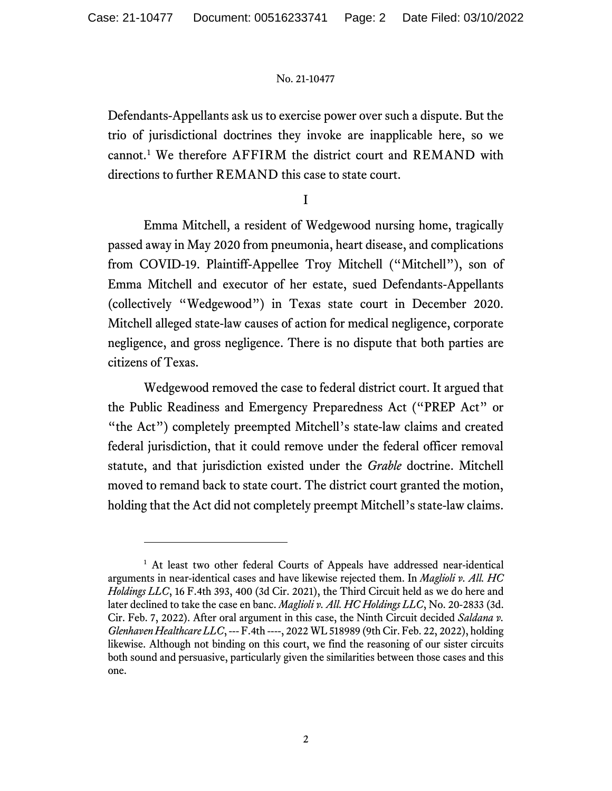Defendants-Appellants ask us to exercise power over such a dispute. But the trio of jurisdictional doctrines they invoke are inapplicable here, so we cannot. [1](#page-1-0) We therefore AFFIRM the district court and REMAND with directions to further REMAND this case to state court.

## I

Emma Mitchell, a resident of Wedgewood nursing home, tragically passed away in May 2020 from pneumonia, heart disease, and complications from COVID-19. Plaintiff-Appellee Troy Mitchell ("Mitchell"), son of Emma Mitchell and executor of her estate, sued Defendants-Appellants (collectively "Wedgewood") in Texas state court in December 2020. Mitchell alleged state-law causes of action for medical negligence, corporate negligence, and gross negligence. There is no dispute that both parties are citizens of Texas.

Wedgewood removed the case to federal district court. It argued that the Public Readiness and Emergency Preparedness Act ("PREP Act" or "the Act") completely preempted Mitchell's state-law claims and created federal jurisdiction, that it could remove under the federal officer removal statute, and that jurisdiction existed under the *Grable* doctrine. Mitchell moved to remand back to state court. The district court granted the motion, holding that the Act did not completely preempt Mitchell's state-law claims.

<span id="page-1-0"></span><sup>&</sup>lt;sup>1</sup> At least two other federal Courts of Appeals have addressed near-identical arguments in near-identical cases and have likewise rejected them. In *Maglioli v. All. HC Holdings LLC*, 16 F.4th 393, 400 (3d Cir. 2021), the Third Circuit held as we do here and later declined to take the case en banc. *Maglioli v. All. HC Holdings LLC*, No. 20-2833 (3d. Cir. Feb. 7, 2022). After oral argument in this case, the Ninth Circuit decided *Saldana v. Glenhaven Healthcare LLC*, --- F.4th ----, 2022 WL 518989 (9th Cir. Feb. 22, 2022), holding likewise. Although not binding on this court, we find the reasoning of our sister circuits both sound and persuasive, particularly given the similarities between those cases and this one.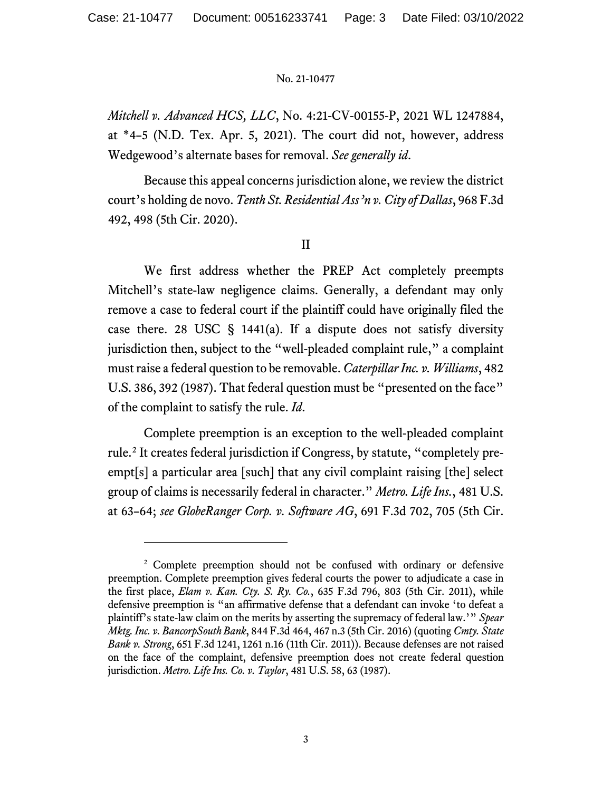*Mitchell v. Advanced HCS, LLC*, No. 4:21-CV-00155-P, 2021 WL 1247884, at \*4–5 (N.D. Tex. Apr. 5, 2021). The court did not, however, address Wedgewood's alternate bases for removal. *See generally id*.

Because this appeal concerns jurisdiction alone, we review the district court's holding de novo. *Tenth St. Residential Ass'n v. City of Dallas*, 968 F.3d 492, 498 (5th Cir. 2020).

## II

We first address whether the PREP Act completely preempts Mitchell's state-law negligence claims. Generally, a defendant may only remove a case to federal court if the plaintiff could have originally filed the case there. 28 USC  $\S$  1441(a). If a dispute does not satisfy diversity jurisdiction then, subject to the "well-pleaded complaint rule," a complaint must raise a federal question to be removable. *Caterpillar Inc. v. Williams*, 482 U.S. 386, 392 (1987). That federal question must be "presented on the face" of the complaint to satisfy the rule. *Id*.

Complete preemption is an exception to the well-pleaded complaint rule.[2](#page-2-0) It creates federal jurisdiction if Congress, by statute, "completely preempt[s] a particular area [such] that any civil complaint raising [the] select group of claims is necessarily federal in character." *Metro. Life Ins.*, 481 U.S. at 63–64; *see GlobeRanger Corp. v. Software AG*, 691 F.3d 702, 705 (5th Cir.

<span id="page-2-0"></span><sup>&</sup>lt;sup>2</sup> Complete preemption should not be confused with ordinary or defensive preemption. Complete preemption gives federal courts the power to adjudicate a case in the first place, *Elam v. Kan. Cty. S. Ry. Co.*, 635 F.3d 796, 803 (5th Cir. 2011), while defensive preemption is "an affirmative defense that a defendant can invoke 'to defeat a plaintiff's state-law claim on the merits by asserting the supremacy of federal law.'" *Spear Mktg. Inc. v. BancorpSouth Bank*, 844 F.3d 464, 467 n.3 (5th Cir. 2016) (quoting *Cmty. State Bank v. Strong*, 651 F.3d 1241, 1261 n.16 (11th Cir. 2011)). Because defenses are not raised on the face of the complaint, defensive preemption does not create federal question jurisdiction. *Metro. Life Ins. Co. v. Taylor*, 481 U.S. 58, 63 (1987).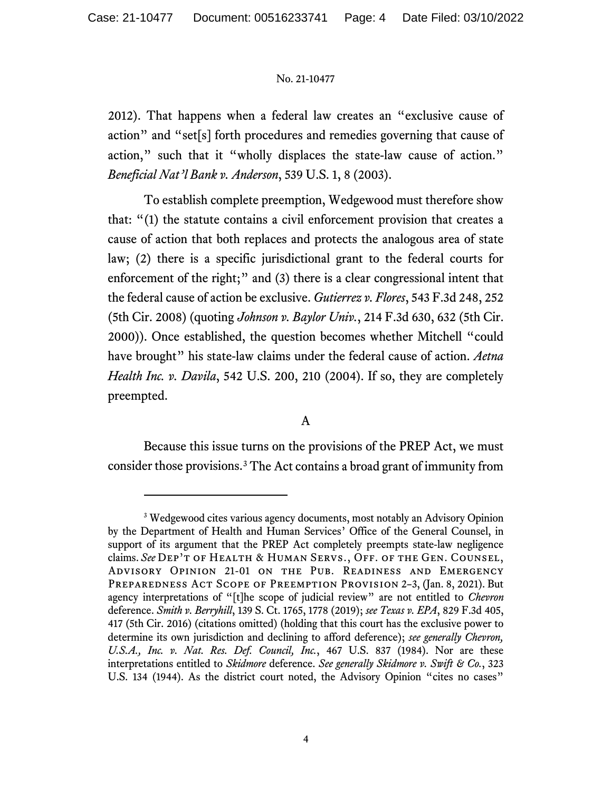2012). That happens when a federal law creates an "exclusive cause of action" and "set[s] forth procedures and remedies governing that cause of action," such that it "wholly displaces the state-law cause of action." *Beneficial Nat'l Bank v. Anderson*, 539 U.S. 1, 8 (2003).

To establish complete preemption, Wedgewood must therefore show that: "(1) the statute contains a civil enforcement provision that creates a cause of action that both replaces and protects the analogous area of state law; (2) there is a specific jurisdictional grant to the federal courts for enforcement of the right;" and (3) there is a clear congressional intent that the federal cause of action be exclusive. *Gutierrez v. Flores*, 543 F.3d 248, 252 (5th Cir. 2008) (quoting *Johnson v. Baylor Univ.*, 214 F.3d 630, 632 (5th Cir. 2000)). Once established, the question becomes whether Mitchell "could have brought" his state-law claims under the federal cause of action. *Aetna Health Inc. v. Davila*, 542 U.S. 200, 210 (2004). If so, they are completely preempted.

# A

Because this issue turns on the provisions of the PREP Act, we must consider those provisions. [3](#page-3-0) The Act contains a broad grant of immunity from

<span id="page-3-0"></span><sup>&</sup>lt;sup>3</sup> Wedgewood cites various agency documents, most notably an Advisory Opinion by the Department of Health and Human Services' Office of the General Counsel, in support of its argument that the PREP Act completely preempts state-law negligence claims. *See* Dep't of Health & Human Servs., Off. of the Gen. Counsel, Advisory Opinion 21-01 on the Pub. Readiness and Emergency PREPAREDNESS ACT SCOPE OF PREEMPTION PROVISION 2-3, (Jan. 8, 2021). But agency interpretations of "[t]he scope of judicial review" are not entitled to *Chevron*  deference. *Smith v. Berryhill*, 139 S. Ct. 1765, 1778 (2019); *see Texas v. EPA*, 829 F.3d 405, 417 (5th Cir. 2016) (citations omitted) (holding that this court has the exclusive power to determine its own jurisdiction and declining to afford deference); *see generally Chevron, U.S.A., Inc. v. Nat. Res. Def. Council, Inc.*, 467 U.S. 837 (1984). Nor are these interpretations entitled to *Skidmore* deference. *See generally Skidmore v. Swift & Co.*, 323 U.S. 134 (1944). As the district court noted, the Advisory Opinion "cites no cases"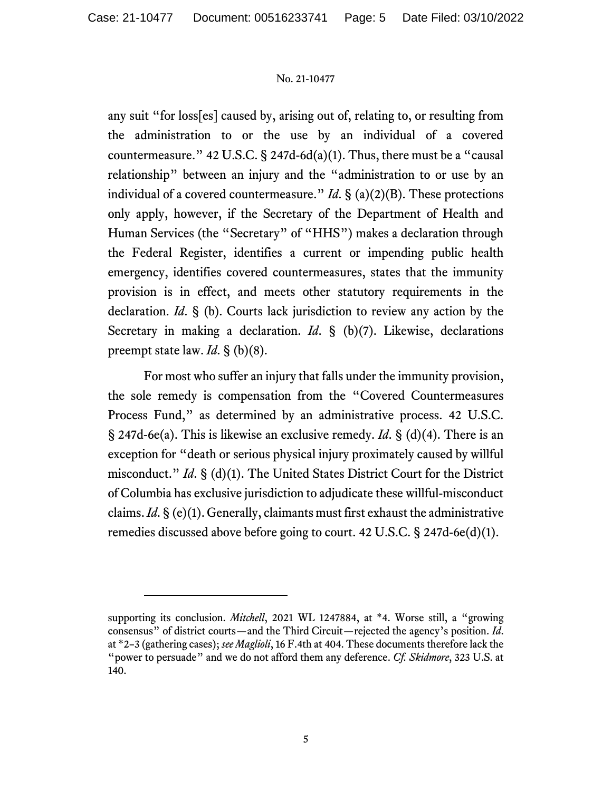any suit "for loss[es] caused by, arising out of, relating to, or resulting from the administration to or the use by an individual of a covered countermeasure." 42 U.S.C. § 247d-6d(a)(1). Thus, there must be a "causal relationship" between an injury and the "administration to or use by an individual of a covered countermeasure." *Id*. § (a)(2)(B). These protections only apply, however, if the Secretary of the Department of Health and Human Services (the "Secretary" of "HHS") makes a declaration through the Federal Register, identifies a current or impending public health emergency, identifies covered countermeasures, states that the immunity provision is in effect, and meets other statutory requirements in the declaration. *Id*. § (b). Courts lack jurisdiction to review any action by the Secretary in making a declaration. *Id*. § (b)(7). Likewise, declarations preempt state law. *Id*. § (b)(8).

For most who suffer an injury that falls under the immunity provision, the sole remedy is compensation from the "Covered Countermeasures Process Fund," as determined by an administrative process. 42 U.S.C. § 247d-6e(a). This is likewise an exclusive remedy. *Id*. § (d)(4). There is an exception for "death or serious physical injury proximately caused by willful misconduct." *Id*. § (d)(1). The United States District Court for the District of Columbia has exclusive jurisdiction to adjudicate these willful-misconduct claims. *Id*. § (e)(1). Generally, claimants must first exhaust the administrative remedies discussed above before going to court. 42 U.S.C. § 247d-6e(d)(1).

supporting its conclusion. *Mitchell*, 2021 WL 1247884, at \*4. Worse still, a "growing consensus" of district courts—and the Third Circuit—rejected the agency's position. *Id*. at \*2–3 (gathering cases); *see Maglioli*, 16 F.4th at 404. These documents therefore lack the "power to persuade" and we do not afford them any deference. *Cf. Skidmore*, 323 U.S. at 140.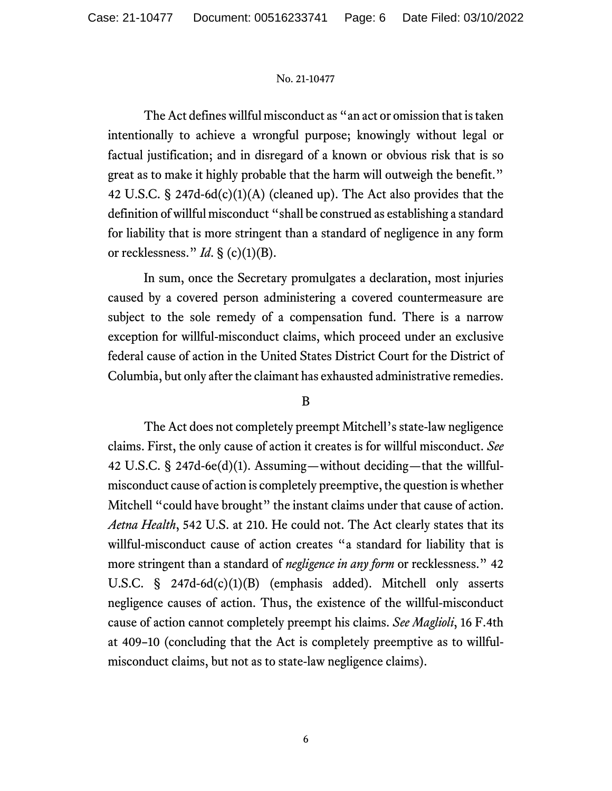The Act defines willful misconduct as "an act or omission that is taken intentionally to achieve a wrongful purpose; knowingly without legal or factual justification; and in disregard of a known or obvious risk that is so great as to make it highly probable that the harm will outweigh the benefit." 42 U.S.C. § 247d-6d(c)(1)(A) (cleaned up). The Act also provides that the definition of willful misconduct "shall be construed as establishing a standard for liability that is more stringent than a standard of negligence in any form or recklessness." *Id.* § (c)(1)(B).

In sum, once the Secretary promulgates a declaration, most injuries caused by a covered person administering a covered countermeasure are subject to the sole remedy of a compensation fund. There is a narrow exception for willful-misconduct claims, which proceed under an exclusive federal cause of action in the United States District Court for the District of Columbia, but only after the claimant has exhausted administrative remedies.

## B

The Act does not completely preempt Mitchell's state-law negligence claims. First, the only cause of action it creates is for willful misconduct. *See*  42 U.S.C. § 247d-6e(d)(1). Assuming—without deciding—that the willfulmisconduct cause of action is completely preemptive, the question is whether Mitchell "could have brought" the instant claims under that cause of action. *Aetna Health*, 542 U.S. at 210. He could not. The Act clearly states that its willful-misconduct cause of action creates "a standard for liability that is more stringent than a standard of *negligence in any form* or recklessness." 42 U.S.C. § 247d-6d(c)(1)(B) (emphasis added). Mitchell only asserts negligence causes of action. Thus, the existence of the willful-misconduct cause of action cannot completely preempt his claims. *See Maglioli*, 16 F.4th at 409–10 (concluding that the Act is completely preemptive as to willfulmisconduct claims, but not as to state-law negligence claims).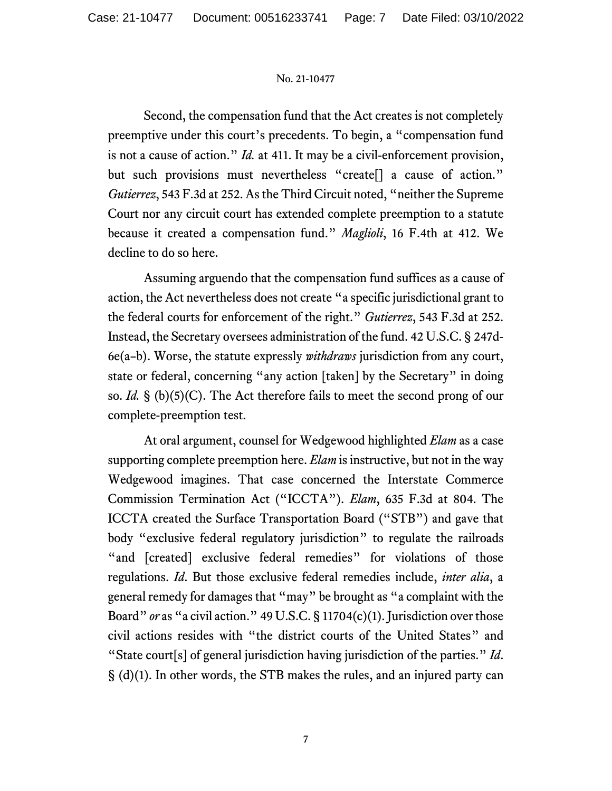Second, the compensation fund that the Act creates is not completely preemptive under this court's precedents. To begin, a "compensation fund is not a cause of action." *Id.* at 411. It may be a civil-enforcement provision, but such provisions must nevertheless "create<sup>[]</sup> a cause of action." *Gutierrez*, 543 F.3d at 252. As the Third Circuit noted, "neither the Supreme Court nor any circuit court has extended complete preemption to a statute because it created a compensation fund." *Maglioli*, 16 F.4th at 412. We decline to do so here.

Assuming arguendo that the compensation fund suffices as a cause of action, the Act nevertheless does not create "a specific jurisdictional grant to the federal courts for enforcement of the right." *Gutierrez*, 543 F.3d at 252. Instead, the Secretary oversees administration of the fund. 42 U.S.C. § 247d-6e(a–b). Worse, the statute expressly *withdraws* jurisdiction from any court, state or federal, concerning "any action [taken] by the Secretary" in doing so. *Id.* § (b)(5)(C). The Act therefore fails to meet the second prong of our complete-preemption test.

At oral argument, counsel for Wedgewood highlighted *Elam* as a case supporting complete preemption here. *Elam* is instructive, but not in the way Wedgewood imagines. That case concerned the Interstate Commerce Commission Termination Act ("ICCTA"). *Elam*, 635 F.3d at 804. The ICCTA created the Surface Transportation Board ("STB") and gave that body "exclusive federal regulatory jurisdiction" to regulate the railroads "and [created] exclusive federal remedies" for violations of those regulations. *Id*. But those exclusive federal remedies include, *inter alia*, a general remedy for damages that "may" be brought as "a complaint with the Board" *or* as "a civil action." 49 U.S.C. § 11704(c)(1). Jurisdiction over those civil actions resides with "the district courts of the United States" and "State court[s] of general jurisdiction having jurisdiction of the parties." *Id*. § (d)(1). In other words, the STB makes the rules, and an injured party can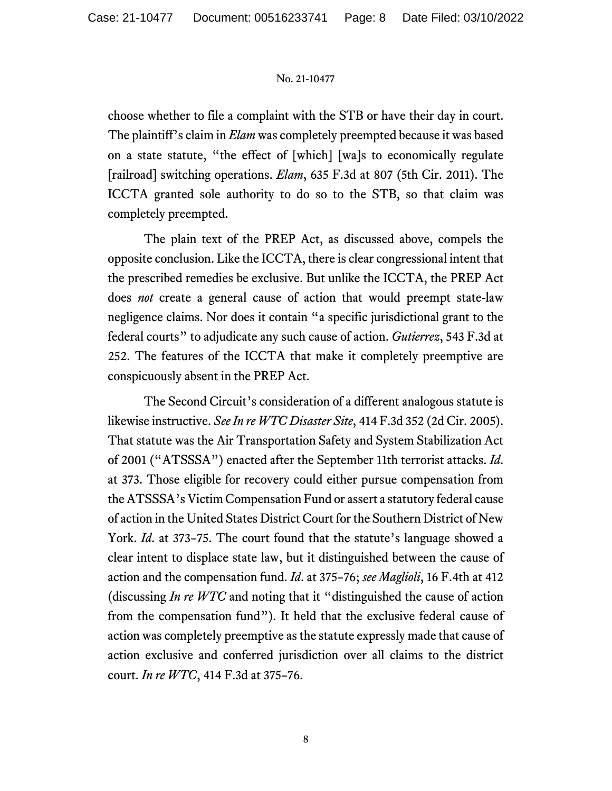choose whether to file a complaint with the STB or have their day in court. The plaintiff's claim in *Elam* was completely preempted because it was based on a state statute, "the effect of [which] [wa]s to economically regulate [railroad] switching operations. *Elam*, 635 F.3d at 807 (5th Cir. 2011). The ICCTA granted sole authority to do so to the STB, so that claim was completely preempted.

The plain text of the PREP Act, as discussed above, compels the opposite conclusion. Like the ICCTA, there is clear congressional intent that the prescribed remedies be exclusive. But unlike the ICCTA, the PREP Act does *not* create a general cause of action that would preempt state-law negligence claims. Nor does it contain "a specific jurisdictional grant to the federal courts" to adjudicate any such cause of action. *Gutierrez*, 543 F.3d at 252. The features of the ICCTA that make it completely preemptive are conspicuously absent in the PREP Act.

The Second Circuit's consideration of a different analogous statute is likewise instructive. *See In re WTC Disaster Site*, 414 F.3d 352 (2d Cir. 2005). That statute was the Air Transportation Safety and System Stabilization Act of 2001 ("ATSSSA") enacted after the September 11th terrorist attacks. *Id*. at 373. Those eligible for recovery could either pursue compensation from the ATSSSA's Victim Compensation Fund or assert a statutory federal cause of action in the United States District Court for the Southern District of New York. *Id*. at 373–75. The court found that the statute's language showed a clear intent to displace state law, but it distinguished between the cause of action and the compensation fund. *Id*. at 375–76; *see Maglioli*, 16 F.4th at 412 (discussing *In re WTC* and noting that it "distinguished the cause of action from the compensation fund"). It held that the exclusive federal cause of action was completely preemptive as the statute expressly made that cause of action exclusive and conferred jurisdiction over all claims to the district court. *In re WTC*, 414 F.3d at 375–76.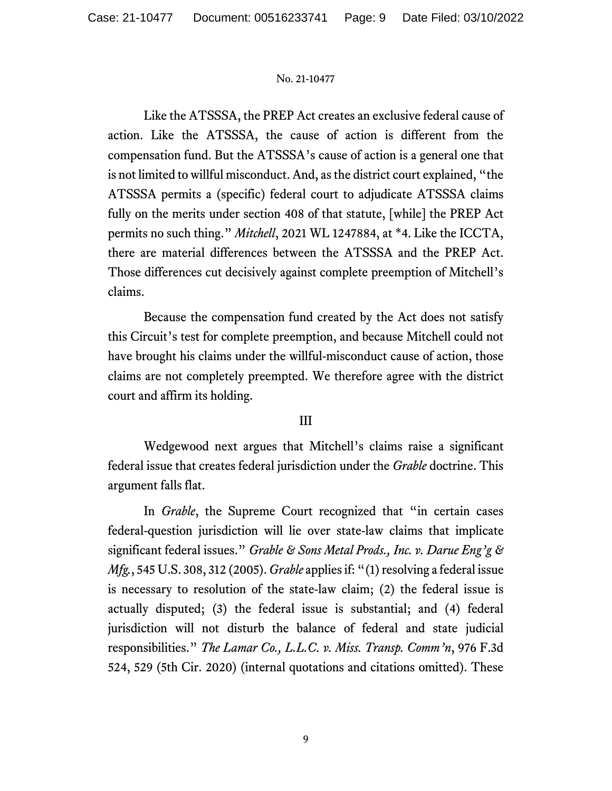Like the ATSSSA, the PREP Act creates an exclusive federal cause of action. Like the ATSSSA, the cause of action is different from the compensation fund. But the ATSSSA's cause of action is a general one that is not limited to willful misconduct. And, as the district court explained, "the ATSSSA permits a (specific) federal court to adjudicate ATSSSA claims fully on the merits under section 408 of that statute, [while] the PREP Act permits no such thing." *Mitchell*, 2021 WL 1247884, at \*4. Like the ICCTA, there are material differences between the ATSSSA and the PREP Act. Those differences cut decisively against complete preemption of Mitchell's claims.

Because the compensation fund created by the Act does not satisfy this Circuit's test for complete preemption, and because Mitchell could not have brought his claims under the willful-misconduct cause of action, those claims are not completely preempted. We therefore agree with the district court and affirm its holding.

# III

Wedgewood next argues that Mitchell's claims raise a significant federal issue that creates federal jurisdiction under the *Grable* doctrine. This argument falls flat.

In *Grable*, the Supreme Court recognized that "in certain cases federal-question jurisdiction will lie over state-law claims that implicate significant federal issues." *Grable & Sons Metal Prods., Inc. v. Darue Eng'g & Mfg.*, 545 U.S. 308, 312 (2005). *Grable* applies if: "(1) resolving a federal issue is necessary to resolution of the state-law claim; (2) the federal issue is actually disputed; (3) the federal issue is substantial; and (4) federal jurisdiction will not disturb the balance of federal and state judicial responsibilities." *The Lamar Co., L.L.C. v. Miss. Transp. Comm'n*, 976 F.3d 524, 529 (5th Cir. 2020) (internal quotations and citations omitted). These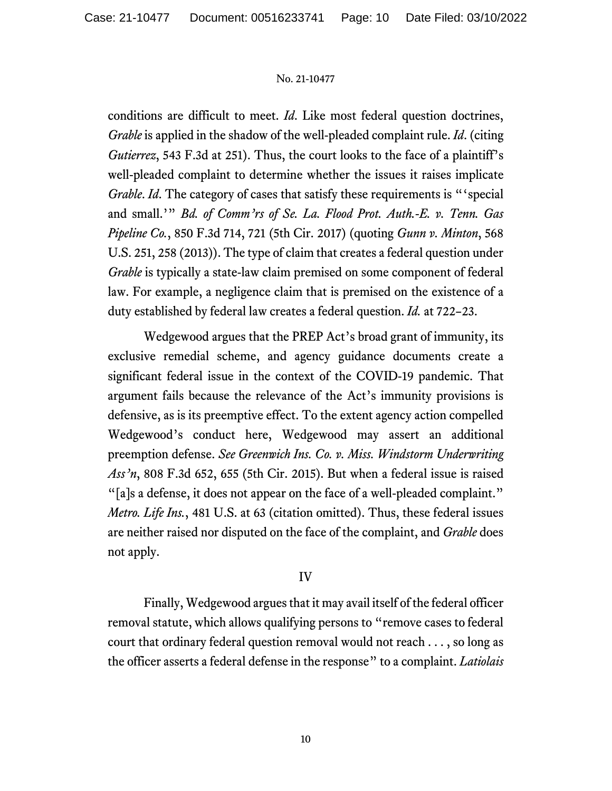conditions are difficult to meet. *Id*. Like most federal question doctrines, *Grable* is applied in the shadow of the well-pleaded complaint rule. *Id*. (citing *Gutierrez*, 543 F.3d at 251). Thus, the court looks to the face of a plaintiff's well-pleaded complaint to determine whether the issues it raises implicate *Grable. Id.* The category of cases that satisfy these requirements is "special and small.'" *Bd. of Comm'rs of Se. La. Flood Prot. Auth.-E. v. Tenn. Gas Pipeline Co.*, 850 F.3d 714, 721 (5th Cir. 2017) (quoting *Gunn v. Minton*, 568 U.S. 251, 258 (2013)). The type of claim that creates a federal question under *Grable* is typically a state-law claim premised on some component of federal law. For example, a negligence claim that is premised on the existence of a duty established by federal law creates a federal question. *Id.* at 722–23.

Wedgewood argues that the PREP Act's broad grant of immunity, its exclusive remedial scheme, and agency guidance documents create a significant federal issue in the context of the COVID-19 pandemic. That argument fails because the relevance of the Act's immunity provisions is defensive, as is its preemptive effect. To the extent agency action compelled Wedgewood's conduct here, Wedgewood may assert an additional preemption defense. *See Greenwich Ins. Co. v. Miss. Windstorm Underwriting Ass'n*, 808 F.3d 652, 655 (5th Cir. 2015). But when a federal issue is raised "[a]s a defense, it does not appear on the face of a well-pleaded complaint." *Metro. Life Ins.*, 481 U.S. at 63 (citation omitted). Thus, these federal issues are neither raised nor disputed on the face of the complaint, and *Grable* does not apply.

# IV

Finally, Wedgewood argues that it may avail itself of the federal officer removal statute, which allows qualifying persons to "remove cases to federal court that ordinary federal question removal would not reach . . . , so long as the officer asserts a federal defense in the response" to a complaint. *Latiolais*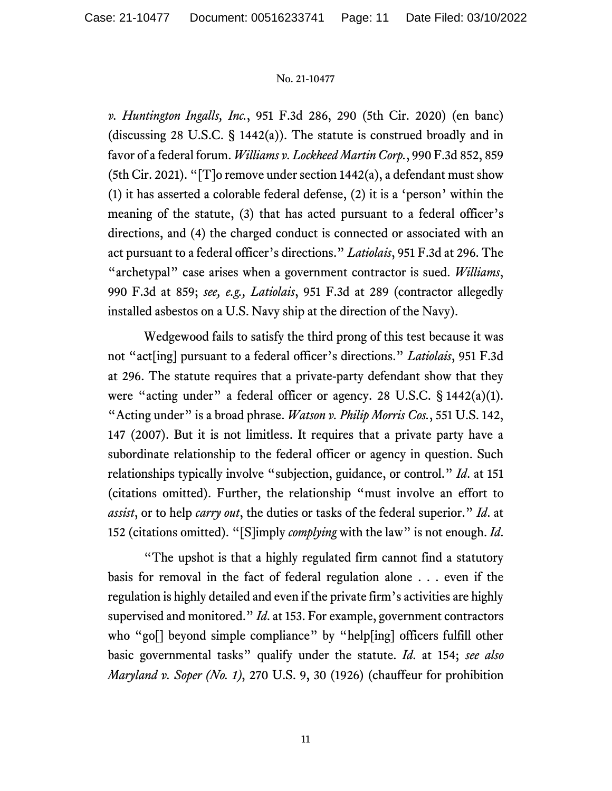*v. Huntington Ingalls, Inc.*, 951 F.3d 286, 290 (5th Cir. 2020) (en banc) (discussing 28 U.S.C. § 1442(a)). The statute is construed broadly and in favor of a federal forum. *Williams v. Lockheed Martin Corp.*, 990 F.3d 852, 859 (5th Cir. 2021). "[T]o remove under section  $1442(a)$ , a defendant must show (1) it has asserted a colorable federal defense, (2) it is a 'person' within the meaning of the statute, (3) that has acted pursuant to a federal officer's directions, and (4) the charged conduct is connected or associated with an act pursuant to a federal officer's directions." *Latiolais*, 951 F.3d at 296. The "archetypal" case arises when a government contractor is sued. *Williams*, 990 F.3d at 859; *see, e.g., Latiolais*, 951 F.3d at 289 (contractor allegedly installed asbestos on a U.S. Navy ship at the direction of the Navy).

Wedgewood fails to satisfy the third prong of this test because it was not "act[ing] pursuant to a federal officer's directions." *Latiolais*, 951 F.3d at 296. The statute requires that a private-party defendant show that they were "acting under" a federal officer or agency. 28 U.S.C. § 1442(a)(1). "Acting under" is a broad phrase. *Watson v. Philip Morris Cos.*, 551 U.S. 142, 147 (2007). But it is not limitless. It requires that a private party have a subordinate relationship to the federal officer or agency in question. Such relationships typically involve "subjection, guidance, or control." *Id*. at 151 (citations omitted). Further, the relationship "must involve an effort to *assist*, or to help *carry out*, the duties or tasks of the federal superior." *Id*. at 152 (citations omitted). "[S]imply *complying* with the law" is not enough. *Id*.

"The upshot is that a highly regulated firm cannot find a statutory basis for removal in the fact of federal regulation alone . . . even if the regulation is highly detailed and even if the private firm's activities are highly supervised and monitored." *Id*. at 153. For example, government contractors who "go<sup>[]</sup> beyond simple compliance" by "help[ing] officers fulfill other basic governmental tasks" qualify under the statute. *Id*. at 154; *see also Maryland v. Soper (No. 1)*, 270 U.S. 9, 30 (1926) (chauffeur for prohibition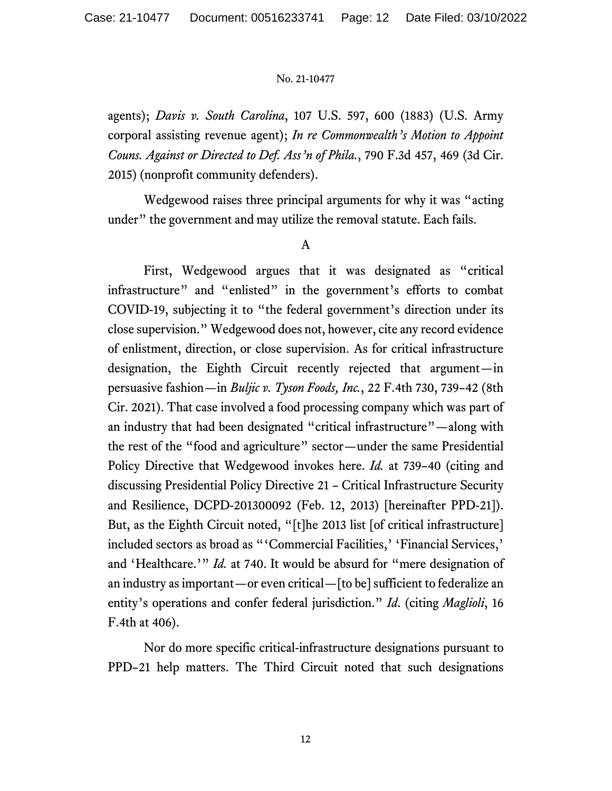agents); *Davis v. South Carolina*, 107 U.S. 597, 600 (1883) (U.S. Army corporal assisting revenue agent); *In re Commonwealth's Motion to Appoint Couns. Against or Directed to Def. Ass'n of Phila.*, 790 F.3d 457, 469 (3d Cir. 2015) (nonprofit community defenders).

Wedgewood raises three principal arguments for why it was "acting under" the government and may utilize the removal statute. Each fails.

## A

First, Wedgewood argues that it was designated as "critical infrastructure" and "enlisted" in the government's efforts to combat COVID-19, subjecting it to "the federal government's direction under its close supervision." Wedgewood does not, however, cite any record evidence of enlistment, direction, or close supervision. As for critical infrastructure designation, the Eighth Circuit recently rejected that argument—in persuasive fashion—in *Buljic v. Tyson Foods, Inc.*, 22 F.4th 730, 739–42 (8th Cir. 2021). That case involved a food processing company which was part of an industry that had been designated "critical infrastructure"—along with the rest of the "food and agriculture" sector—under the same Presidential Policy Directive that Wedgewood invokes here. *Id.* at 739–40 (citing and discussing Presidential Policy Directive 21 – Critical Infrastructure Security and Resilience, DCPD-201300092 (Feb. 12, 2013) [hereinafter PPD-21]). But, as the Eighth Circuit noted, "[t]he 2013 list [of critical infrastructure] included sectors as broad as "'Commercial Facilities,' 'Financial Services,' and 'Healthcare.'" *Id.* at 740. It would be absurd for "mere designation of an industry as important—or even critical—[to be] sufficient to federalize an entity's operations and confer federal jurisdiction." *Id*. (citing *Maglioli*, 16 F.4th at 406).

Nor do more specific critical-infrastructure designations pursuant to PPD–21 help matters. The Third Circuit noted that such designations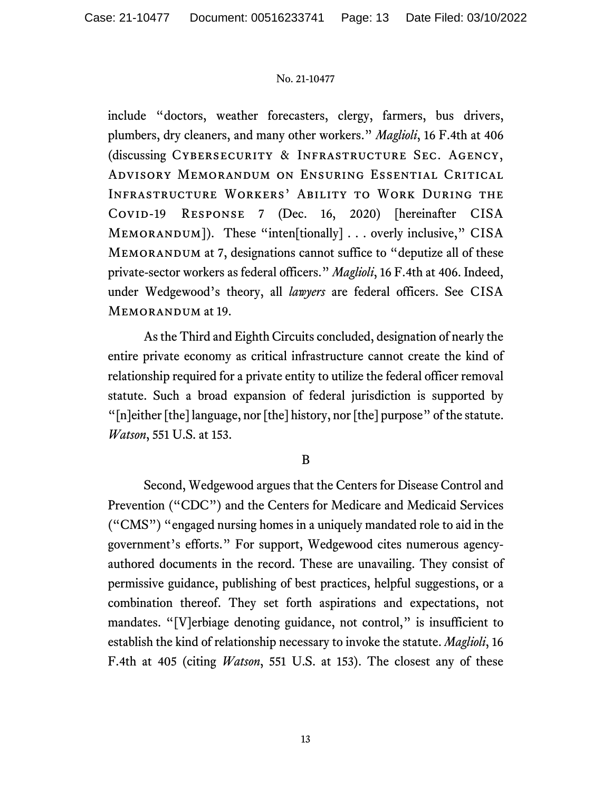include "doctors, weather forecasters, clergy, farmers, bus drivers, plumbers, dry cleaners, and many other workers." *Maglioli*, 16 F.4th at 406 (discussing Cybersecurity & Infrastructure Sec. Agency, Advisory Memorandum on Ensuring Essential Critical Infrastructure Workers' Ability to Work During the COVID-19 RESPONSE 7 (Dec. 16, 2020) [hereinafter CISA MEMORANDUM]). These "inten[tionally] . . . overly inclusive," CISA MEMORANDUM at 7, designations cannot suffice to "deputize all of these private-sector workers as federal officers." *Maglioli*, 16 F.4th at 406. Indeed, under Wedgewood's theory, all *lawyers* are federal officers. See CISA MEMORANDUM at 19.

As the Third and Eighth Circuits concluded, designation of nearly the entire private economy as critical infrastructure cannot create the kind of relationship required for a private entity to utilize the federal officer removal statute. Such a broad expansion of federal jurisdiction is supported by "[n]either [the] language, nor [the] history, nor [the] purpose" of the statute. *Watson*, 551 U.S. at 153.

## B

Second, Wedgewood argues that the Centers for Disease Control and Prevention ("CDC") and the Centers for Medicare and Medicaid Services ("CMS") "engaged nursing homes in a uniquely mandated role to aid in the government's efforts." For support, Wedgewood cites numerous agencyauthored documents in the record. These are unavailing. They consist of permissive guidance, publishing of best practices, helpful suggestions, or a combination thereof. They set forth aspirations and expectations, not mandates. "[V]erbiage denoting guidance, not control," is insufficient to establish the kind of relationship necessary to invoke the statute. *Maglioli*, 16 F.4th at 405 (citing *Watson*, 551 U.S. at 153). The closest any of these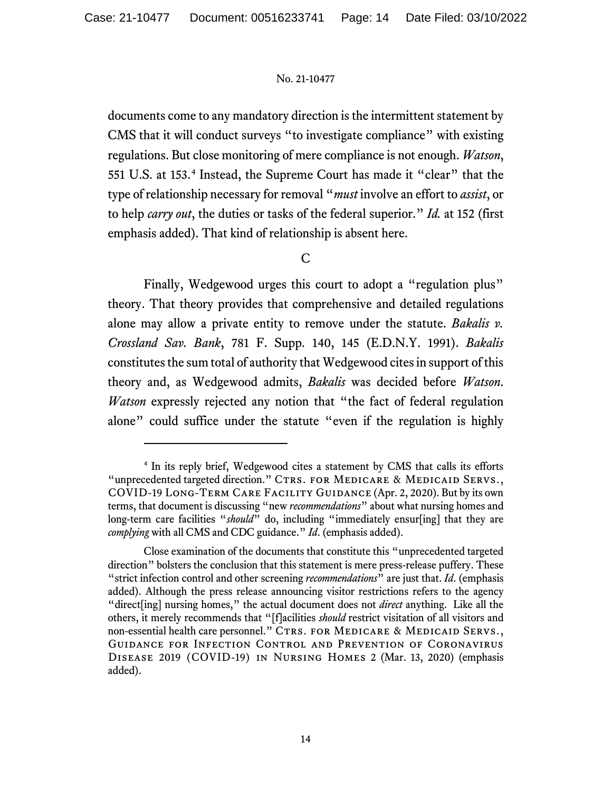documents come to any mandatory direction is the intermittent statement by CMS that it will conduct surveys "to investigate compliance" with existing regulations. But close monitoring of mere compliance is not enough. *Watson*, 551 U.S. at 153.[4](#page-13-0) Instead, the Supreme Court has made it "clear" that the type of relationship necessary for removal "*must* involve an effort to *assist*, or to help *carry out*, the duties or tasks of the federal superior." *Id.* at 152 (first emphasis added). That kind of relationship is absent here.

C

Finally, Wedgewood urges this court to adopt a "regulation plus" theory. That theory provides that comprehensive and detailed regulations alone may allow a private entity to remove under the statute. *Bakalis v. Crossland Sav. Bank*, 781 F. Supp. 140, 145 (E.D.N.Y. 1991). *Bakalis*  constitutes the sum total of authority that Wedgewood cites in support of this theory and, as Wedgewood admits, *Bakalis* was decided before *Watson*. *Watson* expressly rejected any notion that "the fact of federal regulation alone" could suffice under the statute "even if the regulation is highly

<span id="page-13-0"></span><sup>&</sup>lt;sup>4</sup> In its reply brief, Wedgewood cites a statement by CMS that calls its efforts "unprecedented targeted direction." CTRS. FOR MEDICARE & MEDICAID SERVS., COVID-19 Long-Term Care Facility Guidance (Apr. 2, 2020). But by its own terms, that document is discussing "new *recommendations*" about what nursing homes and long-term care facilities "*should*" do, including "immediately ensur[ing] that they are *complying* with all CMS and CDC guidance." *Id*. (emphasis added).

Close examination of the documents that constitute this "unprecedented targeted direction" bolsters the conclusion that this statement is mere press-release puffery. These "strict infection control and other screening *recommendations*" are just that. *Id*. (emphasis added). Although the press release announcing visitor restrictions refers to the agency "direct[ing] nursing homes," the actual document does not *direct* anything. Like all the others, it merely recommends that "[f]acilities *should* restrict visitation of all visitors and non-essential health care personnel." CTRS. FOR MEDICARE & MEDICAID SERVS., Guidance for Infection Control and Prevention of Coronavirus Disease 2019 (COVID-19) in Nursing Homes 2 (Mar. 13, 2020) (emphasis added).